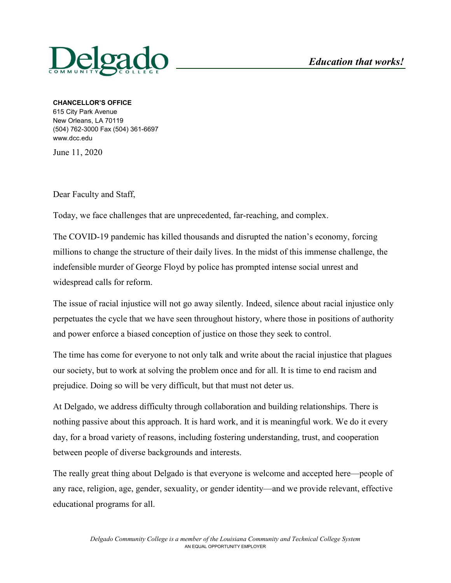

## **CHANCELLOR'S OFFICE**

615 City Park Avenue New Orleans, LA 70119 (504) 762-3000 Fax (504) 361-6697 [www.dcc.edu](http://www.dcc.edu/)

June 11, 2020

Dear Faculty and Staff,

Today, we face challenges that are unprecedented, far-reaching, and complex.

The COVID-19 pandemic has killed thousands and disrupted the nation's economy, forcing millions to change the structure of their daily lives. In the midst of this immense challenge, the indefensible murder of George Floyd by police has prompted intense social unrest and widespread calls for reform.

The issue of racial injustice will not go away silently. Indeed, silence about racial injustice only perpetuates the cycle that we have seen throughout history, where those in positions of authority and power enforce a biased conception of justice on those they seek to control.

The time has come for everyone to not only talk and write about the racial injustice that plagues our society, but to work at solving the problem once and for all. It is time to end racism and prejudice. Doing so will be very difficult, but that must not deter us.

At Delgado, we address difficulty through collaboration and building relationships. There is nothing passive about this approach. It is hard work, and it is meaningful work. We do it every day, for a broad variety of reasons, including fostering understanding, trust, and cooperation between people of diverse backgrounds and interests.

The really great thing about Delgado is that everyone is welcome and accepted here—people of any race, religion, age, gender, sexuality, or gender identity—and we provide relevant, effective educational programs for all.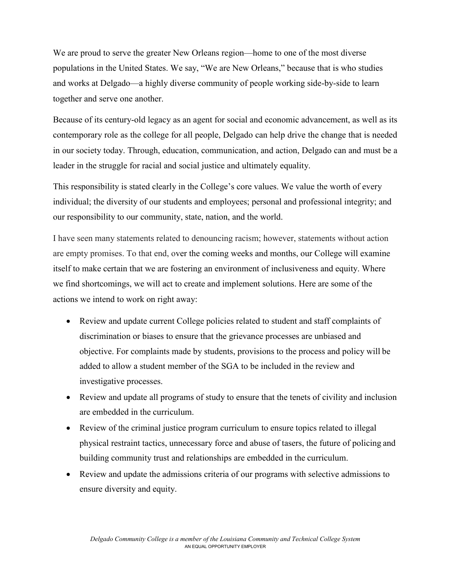We are proud to serve the greater New Orleans region—home to one of the most diverse populations in the United States. We say, "We are New Orleans," because that is who studies and works at Delgado—a highly diverse community of people working side-by-side to learn together and serve one another.

Because of its century-old legacy as an agent for social and economic advancement, as well as its contemporary role as the college for all people, Delgado can help drive the change that is needed in our society today. Through, education, communication, and action, Delgado can and must be a leader in the struggle for racial and social justice and ultimately equality.

This responsibility is stated clearly in the College's core values. We value the worth of every individual; the diversity of our students and employees; personal and professional integrity; and our responsibility to our community, state, nation, and the world.

I have seen many statements related to denouncing racism; however, statements without action are empty promises. To that end, over the coming weeks and months, our College will examine itself to make certain that we are fostering an environment of inclusiveness and equity. Where we find shortcomings, we will act to create and implement solutions. Here are some of the actions we intend to work on right away:

- Review and update current College policies related to student and staff complaints of discrimination or biases to ensure that the grievance processes are unbiased and objective. For complaints made by students, provisions to the process and policy will be added to allow a student member of the SGA to be included in the review and investigative processes.
- Review and update all programs of study to ensure that the tenets of civility and inclusion are embedded in the curriculum.
- Review of the criminal justice program curriculum to ensure topics related to illegal physical restraint tactics, unnecessary force and abuse of tasers, the future of policing and building community trust and relationships are embedded in the curriculum.
- Review and update the admissions criteria of our programs with selective admissions to ensure diversity and equity.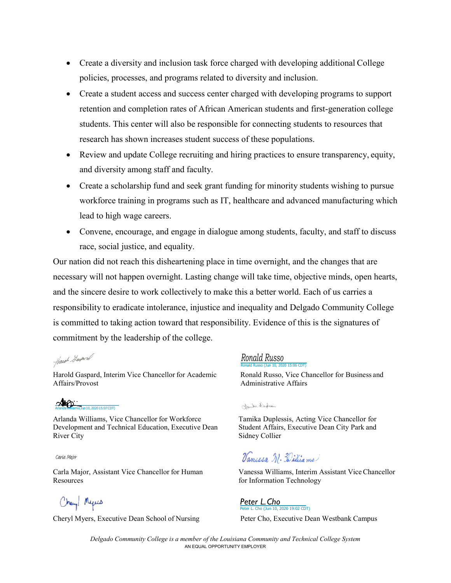- Create a diversity and inclusion task force charged with developing additional College policies, processes, and programs related to diversity and inclusion.
- Create a student access and success center charged with developing programs to support retention and completion rates of African American students and first-generation college students. This center will also be responsible for connecting students to resources that research has shown increases student success of these populations.
- Review and update College recruiting and hiring practices to ensure transparency, equity, and diversity among staff and faculty.
- Create a scholarship fund and seek grant funding for minority students wishing to pursue workforce training in programs such as IT, healthcare and advanced manufacturing which lead to high wage careers.
- Convene, encourage, and engage in dialogue among students, faculty, and staff to discuss race, social justice, and equality.

Our nation did not reach this disheartening place in time overnight, and the changes that are necessary will not happen overnight. Lasting change will take time, objective minds, open hearts, and the sincere desire to work collectively to make this a better world. Each of us carries a responsibility to eradicate intolerance, injustice and inequality and Delgado Community College is committed to taking action toward that responsibility. Evidence of this is the signatures of commitment by the leadership of the college.

Haw Deepard

Harold Gaspard, Interim Vice Chancellor for Academic Ronald Russo, Vice Chancellor for Business and Affairs/Provost and Administrative Affairs

 $\sim$  $\frac{1}{2}$ 

Arlanda Williams, Vice Chancellor for Workforce Tamika Duplessis, Acting Vice Chancellor for Development and Technical Education, Executive Dean Student Affairs, Executive Dean City Park and River City Sidney Collier

## Carla Major

Resources for Information Technology

Orey Myrs

## *[Ronald](https://na2.documents.adobe.com/verifier?tx=CBJCHBCAABAAvd840VjzyrPciovAbgMt9SCYUk1k_SFJ) Russo* [Ronald Russo \(Jun 10, 2020 15:06 CDT\)](https://na2.documents.adobe.com/verifier?tx=CBJCHBCAABAAvd840VjzyrPciovAbgMt9SCYUk1k_SFJ)

## Jamike Duplesis

Vanessa N. Billiame

Carla Major, Assistant Vice Chancellor for Human Vanessa Williams, Interim Assistant Vice Chancellor

*[Peter L.Cho](https://secure.na2.adobesign.com/verifier?tx=CBJCHBCAABAAvd840VjzyrPciovAbgMt9SCYUk1k_SFJ)* r L. Cho (Jun 10, 2020 19:02 CDT) Cheryl Myers, Executive Dean School of Nursing Peter Cho, Executive Dean Westbank Campus

> *Delgado Community College is a member of the Louisiana Community and Technical College System* AN EQUAL OPPORTUNITY EMPLOYER